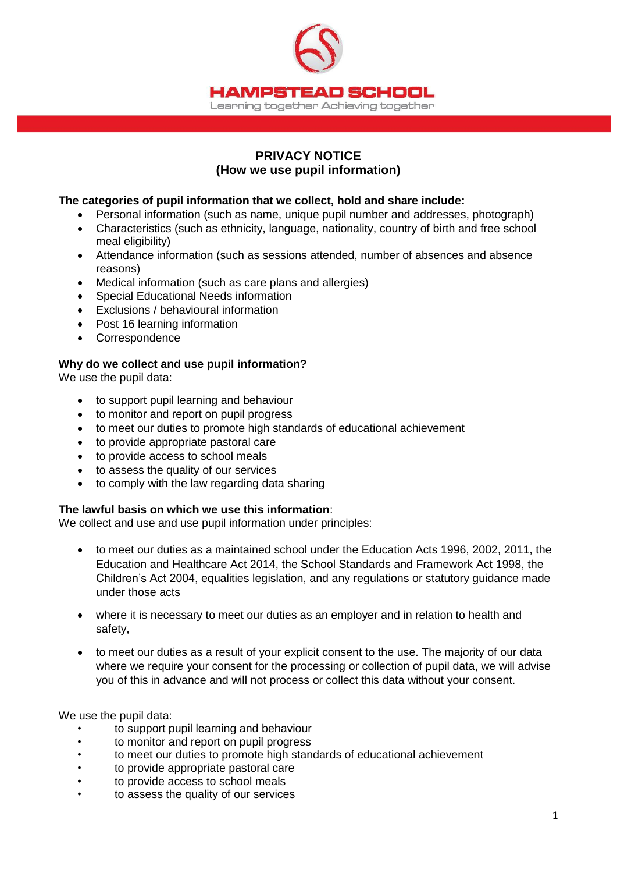

# **PRIVACY NOTICE (How we use pupil information)**

### **The categories of pupil information that we collect, hold and share include:**

- Personal information (such as name, unique pupil number and addresses, photograph)
- Characteristics (such as ethnicity, language, nationality, country of birth and free school meal eligibility)
- Attendance information (such as sessions attended, number of absences and absence reasons)
- Medical information (such as care plans and allergies)
- Special Educational Needs information
- Exclusions / behavioural information
- Post 16 learning information
- Correspondence

# **Why do we collect and use pupil information?**

We use the pupil data:

- to support pupil learning and behaviour
- to monitor and report on pupil progress
- to meet our duties to promote high standards of educational achievement
- to provide appropriate pastoral care
- to provide access to school meals
- to assess the quality of our services
- to comply with the law regarding data sharing

#### **The lawful basis on which we use this information**:

We collect and use and use pupil information under principles:

- to meet our duties as a maintained school under the Education Acts 1996, 2002, 2011, the Education and Healthcare Act 2014, the School Standards and Framework Act 1998, the Children's Act 2004, equalities legislation, and any regulations or statutory guidance made under those acts
- where it is necessary to meet our duties as an employer and in relation to health and safety,
- to meet our duties as a result of your explicit consent to the use. The majority of our data where we require your consent for the processing or collection of pupil data, we will advise you of this in advance and will not process or collect this data without your consent.

We use the pupil data:

- to support pupil learning and behaviour
- to monitor and report on pupil progress
- to meet our duties to promote high standards of educational achievement
- to provide appropriate pastoral care
- to provide access to school meals
- to assess the quality of our services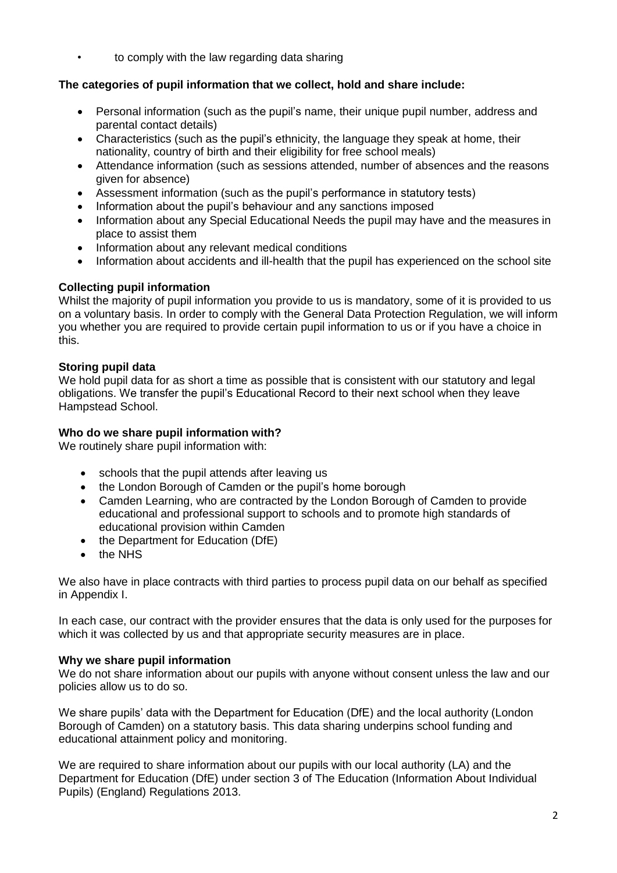• to comply with the law regarding data sharing

# **The categories of pupil information that we collect, hold and share include:**

- Personal information (such as the pupil's name, their unique pupil number, address and parental contact details)
- Characteristics (such as the pupil's ethnicity, the language they speak at home, their nationality, country of birth and their eligibility for free school meals)
- Attendance information (such as sessions attended, number of absences and the reasons given for absence)
- Assessment information (such as the pupil's performance in statutory tests)
- Information about the pupil's behaviour and any sanctions imposed
- Information about any Special Educational Needs the pupil may have and the measures in place to assist them
- Information about any relevant medical conditions
- Information about accidents and ill-health that the pupil has experienced on the school site

# **Collecting pupil information**

Whilst the majority of pupil information you provide to us is mandatory, some of it is provided to us on a voluntary basis. In order to comply with the General Data Protection Regulation, we will inform you whether you are required to provide certain pupil information to us or if you have a choice in this.

# **Storing pupil data**

We hold pupil data for as short a time as possible that is consistent with our statutory and legal obligations. We transfer the pupil's Educational Record to their next school when they leave Hampstead School.

# **Who do we share pupil information with?**

We routinely share pupil information with:

- schools that the pupil attends after leaving us
- the London Borough of Camden or the pupil's home borough
- Camden Learning, who are contracted by the London Borough of Camden to provide educational and professional support to schools and to promote high standards of educational provision within Camden
- the Department for Education (DfE)
- the NHS

We also have in place contracts with third parties to process pupil data on our behalf as specified in Appendix I.

In each case, our contract with the provider ensures that the data is only used for the purposes for which it was collected by us and that appropriate security measures are in place.

#### **Why we share pupil information**

We do not share information about our pupils with anyone without consent unless the law and our policies allow us to do so.

We share pupils' data with the Department for Education (DfE) and the local authority (London Borough of Camden) on a statutory basis. This data sharing underpins school funding and educational attainment policy and monitoring.

We are required to share information about our pupils with our local authority (LA) and the Department for Education (DfE) under section 3 of The Education (Information About Individual Pupils) (England) Regulations 2013.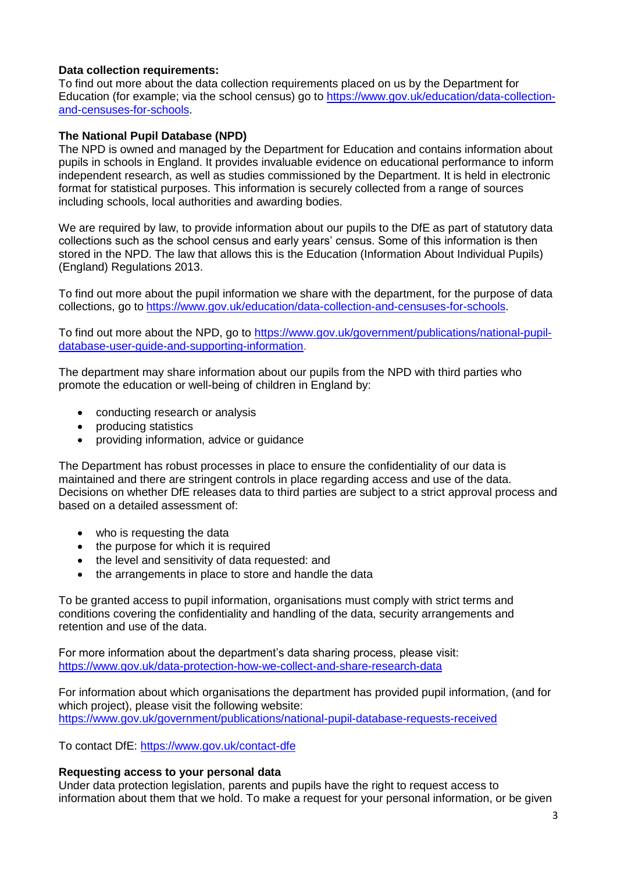# **Data collection requirements:**

To find out more about the data collection requirements placed on us by the Department for Education (for example; via the school census) go to [https://www.gov.uk/education/data-collection](https://www.gov.uk/education/data-collection-and-censuses-for-schools)[and-censuses-for-schools.](https://www.gov.uk/education/data-collection-and-censuses-for-schools)

### **The National Pupil Database (NPD)**

The NPD is owned and managed by the Department for Education and contains information about pupils in schools in England. It provides invaluable evidence on educational performance to inform independent research, as well as studies commissioned by the Department. It is held in electronic format for statistical purposes. This information is securely collected from a range of sources including schools, local authorities and awarding bodies.

We are required by law, to provide information about our pupils to the DfE as part of statutory data collections such as the school census and early years' census. Some of this information is then stored in the NPD. The law that allows this is the Education (Information About Individual Pupils) (England) Regulations 2013.

To find out more about the pupil information we share with the department, for the purpose of data collections, go to [https://www.gov.uk/education/data-collection-and-censuses-for-schools.](https://www.gov.uk/education/data-collection-and-censuses-for-schools)

To find out more about the NPD, go to [https://www.gov.uk/government/publications/national-pupil](https://www.gov.uk/government/publications/national-pupil-database-user-guide-and-supporting-information)[database-user-guide-and-supporting-information.](https://www.gov.uk/government/publications/national-pupil-database-user-guide-and-supporting-information)

The department may share information about our pupils from the NPD with third parties who promote the education or well-being of children in England by:

- conducting research or analysis
- producing statistics
- providing information, advice or guidance

The Department has robust processes in place to ensure the confidentiality of our data is maintained and there are stringent controls in place regarding access and use of the data. Decisions on whether DfE releases data to third parties are subject to a strict approval process and based on a detailed assessment of:

- who is requesting the data
- the purpose for which it is required
- the level and sensitivity of data requested: and
- the arrangements in place to store and handle the data

To be granted access to pupil information, organisations must comply with strict terms and conditions covering the confidentiality and handling of the data, security arrangements and retention and use of the data.

For more information about the department's data sharing process, please visit: <https://www.gov.uk/data-protection-how-we-collect-and-share-research-data>

For information about which organisations the department has provided pupil information, (and for which project), please visit the following website: <https://www.gov.uk/government/publications/national-pupil-database-requests-received>

To contact DfE:<https://www.gov.uk/contact-dfe>

### **Requesting access to your personal data**

Under data protection legislation, parents and pupils have the right to request access to information about them that we hold. To make a request for your personal information, or be given